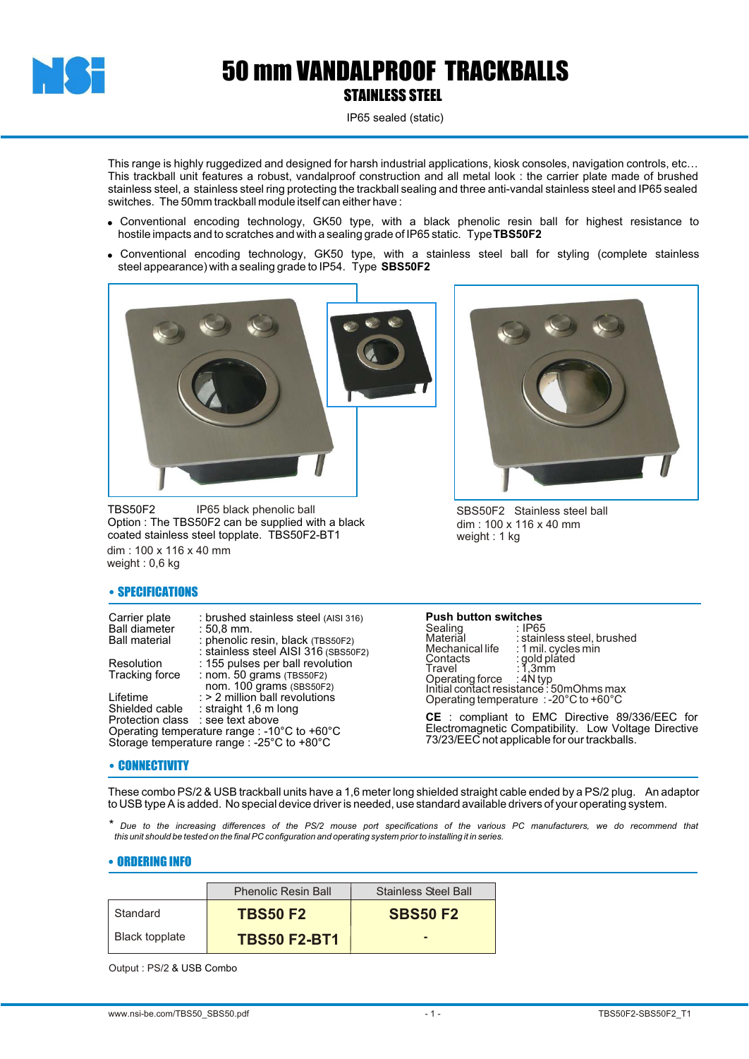

## 50 mm VANDALPROOF TRACKBALLS STAINLESS STEEL

IP65 sealed (static)

This range is highly ruggedized and designed for harsh industrial applications, kiosk consoles, navigation controls, etc… This trackball unit features a robust, vandalproof construction and all metal look : the carrier plate made of brushed stainless steel, a stainless steel ring protecting the trackball sealing and three anti-vandal stainless steel and IP65 sealed switches. The 50mm trackball module itself can either have :

- ! Conventional encoding technology, GK50 type, with a black phenolic resin ball for highest resistance to hostile impacts and to scratches and with a sealing grade of IP65 static. Type **TBS50F2**
- ! Conventional encoding technology, GK50 type, with a stainless steel ball for styling (complete stainless steel appearance) with a sealing grade to IP54. Type **SBS50F2**



TBS50F2 Option : The TBS50F2 can be supplied with a black coated stainless steel topplate. TBS50F2-BT1 IP65 black phenolic ball dim : 100 x 116 x 40 mm weight : 0,6 kg



SBS50F2 Stainless steel ball dim : 100 x 116 x 40 mm weight : 1 kg

### • SPECIFICATIONS

Carrier plate : brushed stainless steel (AISI 316)<br>Ball diameter : 50.8 mm. Ball diameter<br>Ball material phenolic resin, black (TBS50F2) : stainless steel AISI 316 (SBS50F2)

Resolution : 155 pulses per ball revolution<br>Tracking force : nom. 50 grams (TBS50F2) Tracking force : nom. 50 grams (TBS50F2)

 nom. 100 grams (SBS50F2) Lifetime  $\implies$  2 million ball revolutions Shielded cable : straight 1,6 m long Protection class : see text above Operating temperature range : -10°C to +60°C Storage temperature range : -25°C to +80°C

#### • CONNECTIVITY

**Push button switches** Sealing<br>Material

Material : stainless steel, brushed<br>Mechanical life : 1 mil. cycles min Mechanical life : 1 mil. cycles min<br>Contacts : 1 gold plated<br>Travel : 1,3 mm : unificiated<br>: gold plated<br>: 1,3mm Travel : 1,3mm Operating force : 4N typ Initial contact resistance : 50mOhms max Operating temperature : -20°C to +60°C

**CE** : compliant to EMC Directive 89/336/EEC for Electromagnetic Compatibility. Low Voltage Directive 73/23/EEC not applicable for our trackballs.

These combo PS/2 & USB trackball units have a 1,6 meter long shielded straight cable ended by a PS/2 plug. An adaptor to USB type A is added. No special device driver is needed, use standard available drivers of your operating system.

*\* Due to the increasing differences of the PS/2 mouse port specifications of the various PC manufacturers, we do recommend that this unit should be tested on the final PC configuration and operating system prior to installing it in series.*

#### • ORDERING INFO

|                | <b>Phenolic Resin Ball</b> | <b>Stainless Steel Ball</b> |
|----------------|----------------------------|-----------------------------|
| Standard       | <b>TBS50 F2</b>            | <b>SBS50 F2</b>             |
| Black topplate | <b>TBS50 F2-BT1</b>        |                             |

Output : PS/2 & USB Combo